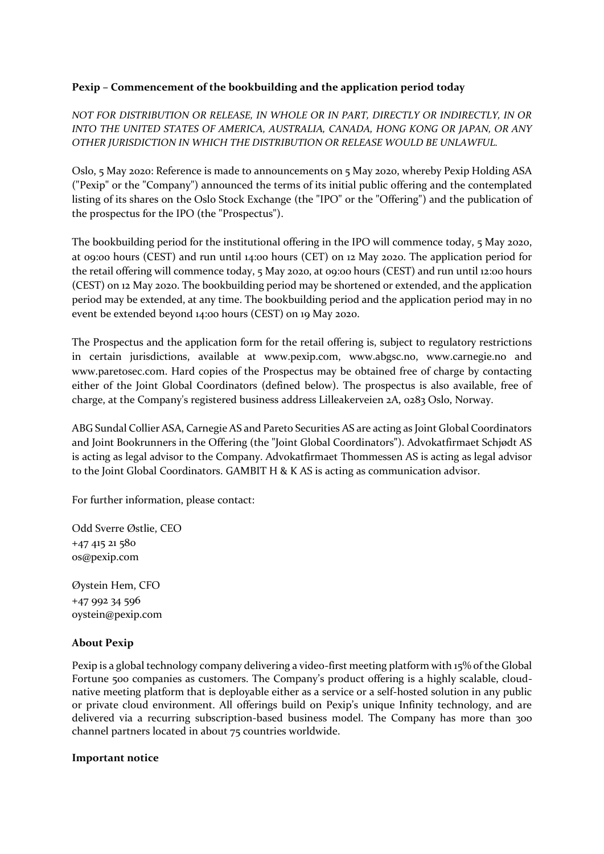## **Pexip – Commencement of the bookbuilding and the application period today**

*NOT FOR DISTRIBUTION OR RELEASE, IN WHOLE OR IN PART, DIRECTLY OR INDIRECTLY, IN OR INTO THE UNITED STATES OF AMERICA, AUSTRALIA, CANADA, HONG KONG OR JAPAN, OR ANY OTHER JURISDICTION IN WHICH THE DISTRIBUTION OR RELEASE WOULD BE UNLAWFUL.*

Oslo, 5 May 2020: Reference is made to announcements on 5 May 2020, whereby Pexip Holding ASA ("Pexip" or the "Company") announced the terms of its initial public offering and the contemplated listing of its shares on the Oslo Stock Exchange (the "IPO" or the "Offering") and the publication of the prospectus for the IPO (the "Prospectus").

The bookbuilding period for the institutional offering in the IPO will commence today, 5 May 2020, at 09:00 hours (CEST) and run until 14:00 hours (CET) on 12 May 2020. The application period for the retail offering will commence today, 5 May 2020, at 09:00 hours (CEST) and run until 12:00 hours (CEST) on 12 May 2020. The bookbuilding period may be shortened or extended, and the application period may be extended, at any time. The bookbuilding period and the application period may in no event be extended beyond 14:00 hours (CEST) on 19 May 2020.

The Prospectus and the application form for the retail offering is, subject to regulatory restrictions in certain jurisdictions, available at www.pexip.com, www.abgsc.no, www.carnegie.no and www.paretosec.com. Hard copies of the Prospectus may be obtained free of charge by contacting either of the Joint Global Coordinators (defined below). The prospectus is also available, free of charge, at the Company's registered business address Lilleakerveien 2A, 0283 Oslo, Norway.

ABG Sundal Collier ASA, Carnegie AS and Pareto Securities AS are acting as Joint Global Coordinators and Joint Bookrunners in the Offering (the "Joint Global Coordinators**"**). Advokatfirmaet Schjødt AS is acting as legal advisor to the Company. Advokatfirmaet Thommessen AS is acting as legal advisor to the Joint Global Coordinators. GAMBIT H & K AS is acting as communication advisor.

For further information, please contact:

Odd Sverre Østlie, CEO +47 415 21 580 os@pexip.com

Øystein Hem, CFO +47 992 34 596 oystein@pexip.com

## **About Pexip**

Pexip is a global technology company delivering a video-first meeting platform with 15% of the Global Fortune 500 companies as customers. The Company's product offering is a highly scalable, cloudnative meeting platform that is deployable either as a service or a self-hosted solution in any public or private cloud environment. All offerings build on Pexip's unique Infinity technology, and are delivered via a recurring subscription-based business model. The Company has more than 300 channel partners located in about 75 countries worldwide.

## **Important notice**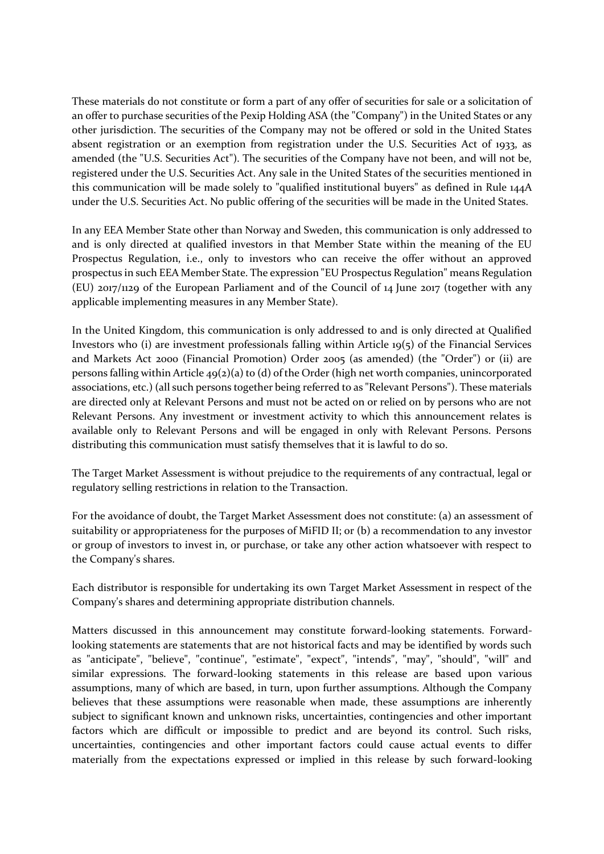These materials do not constitute or form a part of any offer of securities for sale or a solicitation of an offer to purchase securities of the Pexip Holding ASA (the "Company") in the United States or any other jurisdiction. The securities of the Company may not be offered or sold in the United States absent registration or an exemption from registration under the U.S. Securities Act of 1933, as amended (the "U.S. Securities Act"). The securities of the Company have not been, and will not be, registered under the U.S. Securities Act. Any sale in the United States of the securities mentioned in this communication will be made solely to "qualified institutional buyers" as defined in Rule 144A under the U.S. Securities Act. No public offering of the securities will be made in the United States.

In any EEA Member State other than Norway and Sweden, this communication is only addressed to and is only directed at qualified investors in that Member State within the meaning of the EU Prospectus Regulation, i.e., only to investors who can receive the offer without an approved prospectus in such EEA Member State. The expression "EU Prospectus Regulation" means Regulation (EU) 2017/1129 of the European Parliament and of the Council of 14 June 2017 (together with any applicable implementing measures in any Member State).

In the United Kingdom, this communication is only addressed to and is only directed at Qualified Investors who (i) are investment professionals falling within Article 19(5) of the Financial Services and Markets Act 2000 (Financial Promotion) Order 2005 (as amended) (the "Order") or (ii) are persons falling within Article  $49(2)(a)$  to (d) of the Order (high net worth companies, unincorporated associations, etc.) (all such persons together being referred to as "Relevant Persons"). These materials are directed only at Relevant Persons and must not be acted on or relied on by persons who are not Relevant Persons. Any investment or investment activity to which this announcement relates is available only to Relevant Persons and will be engaged in only with Relevant Persons. Persons distributing this communication must satisfy themselves that it is lawful to do so.

The Target Market Assessment is without prejudice to the requirements of any contractual, legal or regulatory selling restrictions in relation to the Transaction.

For the avoidance of doubt, the Target Market Assessment does not constitute: (a) an assessment of suitability or appropriateness for the purposes of MiFID II; or (b) a recommendation to any investor or group of investors to invest in, or purchase, or take any other action whatsoever with respect to the Company's shares.

Each distributor is responsible for undertaking its own Target Market Assessment in respect of the Company's shares and determining appropriate distribution channels.

Matters discussed in this announcement may constitute forward-looking statements. Forwardlooking statements are statements that are not historical facts and may be identified by words such as "anticipate", "believe", "continue", "estimate", "expect", "intends", "may", "should", "will" and similar expressions. The forward-looking statements in this release are based upon various assumptions, many of which are based, in turn, upon further assumptions. Although the Company believes that these assumptions were reasonable when made, these assumptions are inherently subject to significant known and unknown risks, uncertainties, contingencies and other important factors which are difficult or impossible to predict and are beyond its control. Such risks, uncertainties, contingencies and other important factors could cause actual events to differ materially from the expectations expressed or implied in this release by such forward-looking